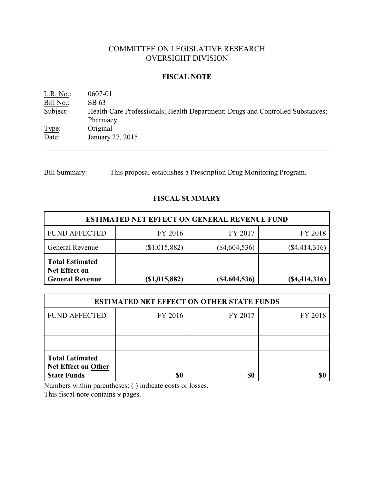# COMMITTEE ON LEGISLATIVE RESEARCH OVERSIGHT DIVISION

# **FISCAL NOTE**

L.R. No.: 0607-01 Bill No.: SB 63<br>Subject: Health Health Care Professionals; Health Department; Drugs and Controlled Substances; Pharmacy Type: Original Date: January 27, 2015

Bill Summary: This proposal establishes a Prescription Drug Monitoring Program.

# **FISCAL SUMMARY**

| <b>ESTIMATED NET EFFECT ON GENERAL REVENUE FUND</b>                      |               |                 |                 |  |  |
|--------------------------------------------------------------------------|---------------|-----------------|-----------------|--|--|
| <b>FUND AFFECTED</b>                                                     | FY 2016       | FY 2017         | FY 2018         |  |  |
| General Revenue                                                          | (\$1,015,882) | $(\$4,604,536)$ | $(\$4,414,316)$ |  |  |
| <b>Total Estimated</b><br><b>Net Effect on</b><br><b>General Revenue</b> | (\$1,015,882) | $(\$4,604,536)$ | $(\$4,414,316)$ |  |  |

| <b>ESTIMATED NET EFFECT ON OTHER STATE FUNDS</b>                           |         |         |         |  |  |
|----------------------------------------------------------------------------|---------|---------|---------|--|--|
| <b>FUND AFFECTED</b>                                                       | FY 2016 | FY 2017 | FY 2018 |  |  |
|                                                                            |         |         |         |  |  |
|                                                                            |         |         |         |  |  |
| <b>Total Estimated</b><br><b>Net Effect on Other</b><br><b>State Funds</b> | \$0     | \$0     |         |  |  |

Numbers within parentheses: ( ) indicate costs or losses.

This fiscal note contains 9 pages.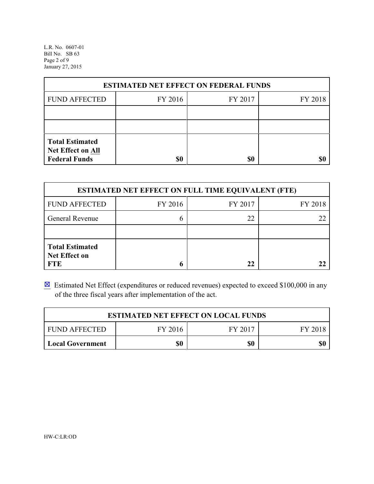L.R. No. 0607-01 Bill No. SB 63 Page 2 of 9 January 27, 2015

| <b>ESTIMATED NET EFFECT ON FEDERAL FUNDS</b>                        |         |         |         |  |  |
|---------------------------------------------------------------------|---------|---------|---------|--|--|
| <b>FUND AFFECTED</b>                                                | FY 2016 | FY 2017 | FY 2018 |  |  |
|                                                                     |         |         |         |  |  |
|                                                                     |         |         |         |  |  |
| <b>Total Estimated</b><br>Net Effect on All<br><b>Federal Funds</b> | \$0     | \$0     |         |  |  |

| <b>ESTIMATED NET EFFECT ON FULL TIME EQUIVALENT (FTE)</b>    |         |         |         |  |  |
|--------------------------------------------------------------|---------|---------|---------|--|--|
| <b>FUND AFFECTED</b>                                         | FY 2016 | FY 2017 | FY 2018 |  |  |
| General Revenue                                              |         | 22      |         |  |  |
|                                                              |         |         |         |  |  |
| <b>Total Estimated</b><br><b>Net Effect on</b><br><b>FTE</b> |         | 22      |         |  |  |

 $\boxtimes$  Estimated Net Effect (expenditures or reduced revenues) expected to exceed \$100,000 in any of the three fiscal years after implementation of the act.

| <b>ESTIMATED NET EFFECT ON LOCAL FUNDS</b>            |  |  |  |  |  |
|-------------------------------------------------------|--|--|--|--|--|
| FY 2016<br>FY 2017<br><b>FUND AFFECTED</b><br>FY 2018 |  |  |  |  |  |
| \$0<br>\$0<br>\$0<br><b>Local Government</b>          |  |  |  |  |  |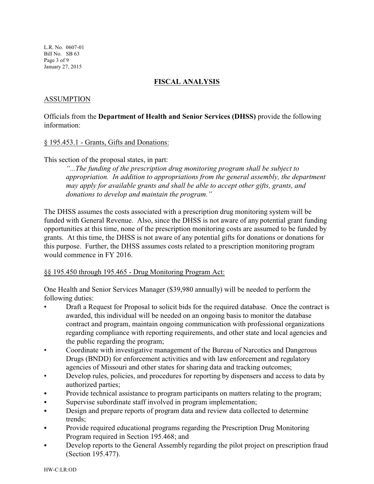L.R. No. 0607-01 Bill No. SB 63 Page 3 of 9 January 27, 2015

### **FISCAL ANALYSIS**

### ASSUMPTION

Officials from the **Department of Health and Senior Services (DHSS)** provide the following information:

#### § 195.453.1 - Grants, Gifts and Donations:

This section of the proposal states, in part:

*"...The funding of the prescription drug monitoring program shall be subject to appropriation. In addition to appropriations from the general assembly, the department may apply for available grants and shall be able to accept other gifts, grants, and donations to develop and maintain the program."*

The DHSS assumes the costs associated with a prescription drug monitoring system will be funded with General Revenue. Also, since the DHSS is not aware of any potential grant funding opportunities at this time, none of the prescription monitoring costs are assumed to be funded by grants. At this time, the DHSS is not aware of any potential gifts for donations or donations for this purpose. Further, the DHSS assumes costs related to a prescription monitoring program would commence in FY 2016.

### §§ 195.450 through 195.465 - Drug Monitoring Program Act:

One Health and Senior Services Manager (\$39,980 annually) will be needed to perform the following duties:

- Draft a Request for Proposal to solicit bids for the required database. Once the contract is awarded, this individual will be needed on an ongoing basis to monitor the database contract and program, maintain ongoing communication with professional organizations regarding compliance with reporting requirements, and other state and local agencies and the public regarding the program;
- Coordinate with investigative management of the Bureau of Narcotics and Dangerous Drugs (BNDD) for enforcement activities and with law enforcement and regulatory agencies of Missouri and other states for sharing data and tracking outcomes;
- Develop rules, policies, and procedures for reporting by dispensers and access to data by authorized parties;
- Provide technical assistance to program participants on matters relating to the program;
- Supervise subordinate staff involved in program implementation;
- Design and prepare reports of program data and review data collected to determine trends;
- Provide required educational programs regarding the Prescription Drug Monitoring Program required in Section 195.468; and
- Develop reports to the General Assembly regarding the pilot project on prescription fraud (Section 195.477).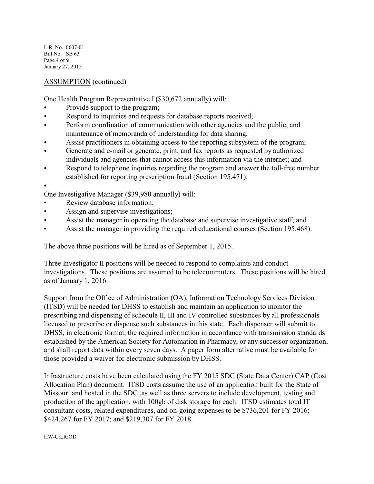L.R. No. 0607-01 Bill No. SB 63 Page 4 of 9 January 27, 2015

# ASSUMPTION (continued)

One Health Program Representative I (\$30,672 annually) will:

- Provide support to the program;
- Respond to inquiries and requests for database reports received;
- Perform coordination of communication with other agencies and the public, and maintenance of memoranda of understanding for data sharing;
- Assist practitioners in obtaining access to the reporting subsystem of the program;
- Generate and e-mail or generate, print, and fax reports as requested by authorized individuals and agencies that cannot access this information via the internet; and
- Respond to telephone inquiries regarding the program and answer the toll-free number established for reporting prescription fraud (Section 195.471).

 $\bullet$ 

One Investigative Manager (\$39,980 annually) will:

- Review database information;
- Assign and supervise investigations;
- Assist the manager in operating the database and supervise investigative staff; and
- Assist the manager in providing the required educational courses (Section 195.468).

The above three positions will be hired as of September 1, 2015.

Three Investigator II positions will be needed to respond to complaints and conduct investigations. These positions are assumed to be telecommuters. These positions will be hired as of January 1, 2016.

Support from the Office of Administration (OA), Information Technology Services Division (ITSD) will be needed for DHSS to establish and maintain an application to monitor the prescribing and dispensing of schedule II, III and IV controlled substances by all professionals licensed to prescribe or dispense such substances in this state. Each dispenser will submit to DHSS, in electronic format, the required information in accordance with transmission standards established by the American Society for Automation in Pharmacy, or any successor organization, and shall report data within every seven days. A paper form alternative must be available for those provided a waiver for electronic submission by DHSS.

Infrastructure costs have been calculated using the FY 2015 SDC (State Data Center) CAP (Cost Allocation Plan) document. ITSD costs assume the use of an application built for the State of Missouri and hosted in the SDC ,as well as three servers to include development, testing and production of the application, with 100gb of disk storage for each. ITSD estimates total IT consultant costs, related expenditures, and on-going expenses to be \$736,201 for FY 2016; \$424,267 for FY 2017; and \$219,307 for FY 2018.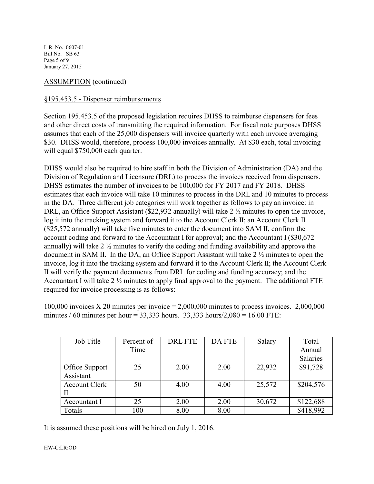L.R. No. 0607-01 Bill No. SB 63 Page 5 of 9 January 27, 2015

# ASSUMPTION (continued)

### §195.453.5 - Dispenser reimbursements

Section 195.453.5 of the proposed legislation requires DHSS to reimburse dispensers for fees and other direct costs of transmitting the required information. For fiscal note purposes DHSS assumes that each of the 25,000 dispensers will invoice quarterly with each invoice averaging \$30. DHSS would, therefore, process 100,000 invoices annually. At \$30 each, total invoicing will equal \$750,000 each quarter.

DHSS would also be required to hire staff in both the Division of Administration (DA) and the Division of Regulation and Licensure (DRL) to process the invoices received from dispensers. DHSS estimates the number of invoices to be 100,000 for FY 2017 and FY 2018. DHSS estimates that each invoice will take 10 minutes to process in the DRL and 10 minutes to process in the DA. Three different job categories will work together as follows to pay an invoice: in DRL, an Office Support Assistant (\$22,932 annually) will take 2  $\frac{1}{2}$  minutes to open the invoice, log it into the tracking system and forward it to the Account Clerk II; an Account Clerk II (\$25,572 annually) will take five minutes to enter the document into SAM II, confirm the account coding and forward to the Accountant I for approval; and the Accountant I (\$30,672 annually) will take 2  $\frac{1}{2}$  minutes to verify the coding and funding availability and approve the document in SAM II. In the DA, an Office Support Assistant will take 2 ½ minutes to open the invoice, log it into the tracking system and forward it to the Account Clerk II; the Account Clerk II will verify the payment documents from DRL for coding and funding accuracy; and the Accountant I will take 2 ½ minutes to apply final approval to the payment. The additional FTE required for invoice processing is as follows:

100,000 invoices X 20 minutes per invoice  $= 2,000,000$  minutes to process invoices. 2,000,000 minutes / 60 minutes per hour = 33,333 hours. 33,333 hours/2,080 = 16.00 FTE:

| Job Title            | Percent of | <b>DRL FTE</b> | DA FTE | Salary | Total     |
|----------------------|------------|----------------|--------|--------|-----------|
|                      | Time       |                |        |        | Annual    |
|                      |            |                |        |        | Salaries  |
| Office Support       | 25         | 2.00           | 2.00   | 22,932 | \$91,728  |
| Assistant            |            |                |        |        |           |
| <b>Account Clerk</b> | 50         | 4.00           | 4.00   | 25,572 | \$204,576 |
|                      |            |                |        |        |           |
| Accountant I         | 25         | 2.00           | 2.00   | 30,672 | \$122,688 |
| Totals               | 100        | 8.00           | 8.00   |        | \$418,992 |

It is assumed these positions will be hired on July 1, 2016.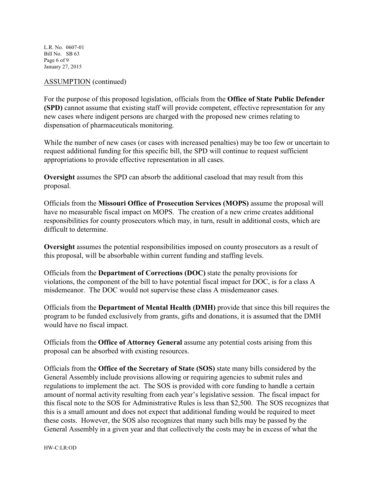L.R. No. 0607-01 Bill No. SB 63 Page 6 of 9 January 27, 2015

### ASSUMPTION (continued)

For the purpose of this proposed legislation, officials from the **Office of State Public Defender (SPD)** cannot assume that existing staff will provide competent, effective representation for any new cases where indigent persons are charged with the proposed new crimes relating to dispensation of pharmaceuticals monitoring.

While the number of new cases (or cases with increased penalties) may be too few or uncertain to request additional funding for this specific bill, the SPD will continue to request sufficient appropriations to provide effective representation in all cases.

**Oversight** assumes the SPD can absorb the additional caseload that may result from this proposal.

Officials from the **Missouri Office of Prosecution Services (MOPS)** assume the proposal will have no measurable fiscal impact on MOPS. The creation of a new crime creates additional responsibilities for county prosecutors which may, in turn, result in additional costs, which are difficult to determine.

**Oversight** assumes the potential responsibilities imposed on county prosecutors as a result of this proposal, will be absorbable within current funding and staffing levels.

Officials from the **Department of Corrections (DOC)** state the penalty provisions for violations, the component of the bill to have potential fiscal impact for DOC, is for a class A misdemeanor. The DOC would not supervise these class A misdemeanor cases.

Officials from the **Department of Mental Health (DMH)** provide that since this bill requires the program to be funded exclusively from grants, gifts and donations, it is assumed that the DMH would have no fiscal impact.

Officials from the **Office of Attorney General** assume any potential costs arising from this proposal can be absorbed with existing resources.

Officials from the **Office of the Secretary of State (SOS)** state many bills considered by the General Assembly include provisions allowing or requiring agencies to submit rules and regulations to implement the act. The SOS is provided with core funding to handle a certain amount of normal activity resulting from each year's legislative session. The fiscal impact for this fiscal note to the SOS for Administrative Rules is less than \$2,500. The SOS recognizes that this is a small amount and does not expect that additional funding would be required to meet these costs. However, the SOS also recognizes that many such bills may be passed by the General Assembly in a given year and that collectively the costs may be in excess of what the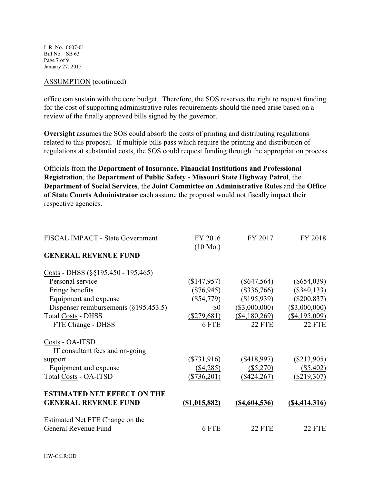L.R. No. 0607-01 Bill No. SB 63 Page 7 of 9 January 27, 2015

#### ASSUMPTION (continued)

office can sustain with the core budget. Therefore, the SOS reserves the right to request funding for the cost of supporting administrative rules requirements should the need arise based on a review of the finally approved bills signed by the governor.

**Oversight** assumes the SOS could absorb the costs of printing and distributing regulations related to this proposal. If multiple bills pass which require the printing and distribution of regulations at substantial costs, the SOS could request funding through the appropriation process.

Officials from the **Department of Insurance, Financial Institutions and Professional Registration**, the **Department of Public Safety - Missouri State Highway Patrol**, the **Department of Social Services**, the **Joint Committee on Administrative Rules** and the **Office of State Courts Administrator** each assume the proposal would not fiscally impact their respective agencies.

| FISCAL IMPACT - State Government         | FY 2016<br>$(10 \text{ Mo.})$ | FY 2017              | FY 2018              |
|------------------------------------------|-------------------------------|----------------------|----------------------|
| <b>GENERAL REVENUE FUND</b>              |                               |                      |                      |
| Costs - DHSS $(\S\S195.450 - 195.465)$   |                               |                      |                      |
| Personal service                         | (\$147,957)                   | $(\$647,564)$        | $(\$654,039)$        |
| Fringe benefits                          | $(\$76,945)$                  | $(\$336,766)$        | $(\$340, 133)$       |
| Equipment and expense                    | $(\$54,779)$                  | (\$195,939)          | $(\$200, 837)$       |
| Dispenser reimbursements $(\S195.453.5)$ | \$0                           | $(\$3,000,000)$      | $(\$3,000,000)$      |
| <b>Total Costs - DHSS</b>                | $(\$279,681)$                 | (\$4,180,269)        | $($ \$4,195,009)     |
| FTE Change - DHSS                        | 6 FTE                         | <b>22 FTE</b>        | <b>22 FTE</b>        |
| Costs - OA-ITSD                          |                               |                      |                      |
| IT consultant fees and on-going          |                               |                      |                      |
| support                                  | $(\$731,916)$                 | $(\$418,997)$        | $(\$213,905)$        |
| Equipment and expense                    | $(\$4,285)$                   | $(\$5,270)$          | (\$5,402)            |
| <b>Total Costs - OA-ITSD</b>             | $(\$736,201)$                 | $(\$424,267)$        | $(\$219,307)$        |
| <b>ESTIMATED NET EFFECT ON THE</b>       |                               |                      |                      |
| <b>GENERAL REVENUE FUND</b>              | <u>(\$1,015,882)</u>          | <u>(\$4,604,536)</u> | <u>(\$4,414,316)</u> |
| Estimated Net FTE Change on the          |                               |                      |                      |
| General Revenue Fund                     | 6 FTE                         | <b>22 FTE</b>        | <b>22 FTE</b>        |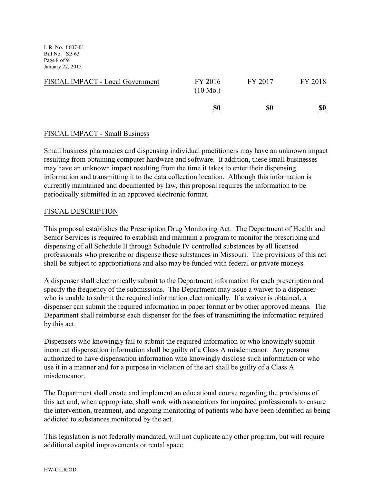L.R. No. 0607-01 Bill No. SB 63 Page 8 of 9 January 27, 2015

| FISCAL IMPACT - Local Government | FY 2016<br>$(10 \text{ Mo.})$ | FY 2017    | FY 2018    |
|----------------------------------|-------------------------------|------------|------------|
|                                  | <u>\$0</u>                    | <u>\$0</u> | <u>\$0</u> |

# FISCAL IMPACT - Small Business

Small business pharmacies and dispensing individual practitioners may have an unknown impact resulting from obtaining computer hardware and software. It addition, these small businesses may have an unknown impact resulting from the time it takes to enter their dispensing information and transmitting it to the data collection location. Although this information is currently maintained and documented by law, this proposal requires the information to be periodically submitted in an approved electronic format.

# FISCAL DESCRIPTION

This proposal establishes the Prescription Drug Monitoring Act. The Department of Health and Senior Services is required to establish and maintain a program to monitor the prescribing and dispensing of all Schedule II through Schedule IV controlled substances by all licensed professionals who prescribe or dispense these substances in Missouri. The provisions of this act shall be subject to appropriations and also may be funded with federal or private moneys.

A dispenser shall electronically submit to the Department information for each prescription and specify the frequency of the submissions. The Department may issue a waiver to a dispenser who is unable to submit the required information electronically. If a waiver is obtained, a dispenser can submit the required information in paper format or by other approved means. The Department shall reimburse each dispenser for the fees of transmitting the information required by this act.

Dispensers who knowingly fail to submit the required information or who knowingly submit incorrect dispensation information shall be guilty of a Class A misdemeanor. Any persons authorized to have dispensation information who knowingly disclose such information or who use it in a manner and for a purpose in violation of the act shall be guilty of a Class A misdemeanor.

The Department shall create and implement an educational course regarding the provisions of this act and, when appropriate, shall work with associations for impaired professionals to ensure the intervention, treatment, and ongoing monitoring of patients who have been identified as being addicted to substances monitored by the act.

This legislation is not federally mandated, will not duplicate any other program, but will require additional capital improvements or rental space.